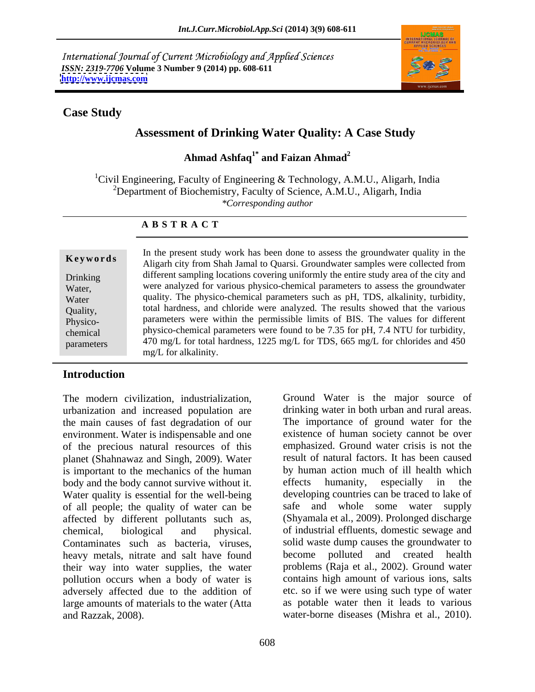International Journal of Current Microbiology and Applied Sciences *ISSN: 2319-7706* **Volume 3 Number 9 (2014) pp. 608-611 <http://www.ijcmas.com>**



### **Case Study**

# **Assessment of Drinking Water Quality: A Case Study**

### **Ahmad Ashfaq1\* and Faizan Ahmad<sup>2</sup>**

<sup>1</sup>Civil Engineering, Faculty of Engineering & Technology, A.M.U., Aligarh, India <sup>2</sup>Department of Biochemistry, Faculty of Science, A.M.U., Aligarh, India *\*Corresponding author* 

### **A B S T R A C T**

| Keywords   | In the present study work has been done to assess the groundwater quality in the<br>Aligarh city from Shah Jamal to Quarsi. Groundwater samples were collected from |  |  |
|------------|---------------------------------------------------------------------------------------------------------------------------------------------------------------------|--|--|
| Drinking   | different sampling locations covering uniformly the entire study area of the city and                                                                               |  |  |
| Water,     | were analyzed for various physico-chemical parameters to assess the groundwater                                                                                     |  |  |
| Water      | quality. The physico-chemical parameters such as pH, TDS, alkalinity, turbidity,                                                                                    |  |  |
| Quality,   | total hardness, and chloride were analyzed. The results showed that the various                                                                                     |  |  |
| Physico-   | parameters were within the permissible limits of BIS. The values for different                                                                                      |  |  |
| chemical   | physico-chemical parameters were found to be 7.35 for pH, 7.4 NTU for turbidity,                                                                                    |  |  |
| parameters | 470 mg/L for total hardness, 1225 mg/L for TDS, 665 mg/L for chlorides and 450                                                                                      |  |  |
|            | mg/L for alkalinit                                                                                                                                                  |  |  |

### **Introduction**

urbanization and increased population are the main causes of fast degradation of our environment. Water is indispensable and one of the precious natural resources of this planet (Shahnawaz and Singh, 2009). Water is important to the mechanics of the human body and the body cannot survive without it. effects humanity, especially in the Water quality is essential for the well-being of all people; the quality of water can be affected by different pollutants such as, chemical, biological and physical. of industrial effluents, domestic sewage and Contaminates such as bacteria, viruses, heavy metals, nitrate and salt have found become their way into water supplies, the water pollution occurs when a body of water is adversely affected due to the addition of large amounts of materials to the water (Atta and Razzak, 2008). water-borne diseases (Mishra et al., 2010).

The modern civilization, industrialization, Ground Water is the major source of drinking water in both urban and rural areas. The importance of ground water for the existence of human society cannot be over emphasized. Ground water crisis is not the result of natural factors. It has been caused by human action much of ill health which effects humanity, especially in the developing countries can be traced to lake of safe and whole some water supply (Shyamala et al., 2009). Prolonged discharge solid waste dump causes the groundwater to polluted and created health problems (Raja et al., 2002). Ground water contains high amount of various ions, salts etc. so if we were using such type of water as potable water then it leads to various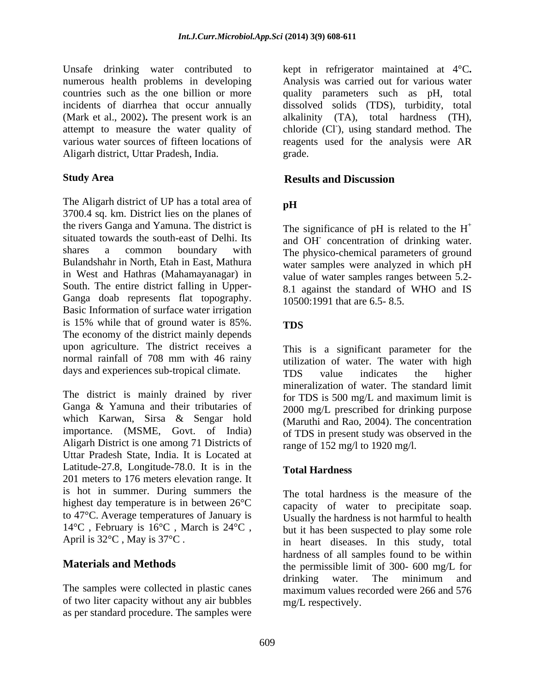Unsafe drinking water contributed to kept in refrigerator maintained at 4°C**.** numerous health problems in developing Analysis was carried out for various water countries such as the one billion or more quality parameters such as pH, total incidents of diarrhea that occur annually dissolved solids (TDS), turbidity, total (Mark et al., 2002)**.** The present work is an attempt to measure the water quality of various water sources of fifteen locations of reagents used for the analysis were AR Aligarh district, Uttar Pradesh, India.

The Aligarh district of UP has a total area of pH 3700.4 sq. km. District lies on the planes of the rivers Ganga and Yamuna. The district is situated towards the south-east of Delhi. Its and OH concentration of drinking water. shares a common boundary with The physico-chemical parameters of ground Bulandshahr in North, Etah in East, Mathura water samples were analyzed in which pH in West and Hathras (Mahamayanagar) in South. The entire district falling in Upper- Ganga doab represents flat topography. Basic Information of surface water irrigation is 15% while that of ground water is 85%. The economy of the district mainly depends upon agriculture. The district receives a normal rainfall of 708 mm with 46 rainy days and experiences sub-tropical climate. TDS value indicates the higher

The district is mainly drained by river Ganga & Yamuna and their tributaries of which Karwan, Sirsa & Sengar hold importance. (MSME, Govt. of India) of TDS in present study was observed in the Aligarh District is one among 71 Districts of Uttar Pradesh State, India. It is Located at Latitude-27.8, Longitude-78.0. It is in the Total Hardness 201 meters to 176 meters elevation range. It is hot in summer. During summers the highest day temperature is in between 26°C to 47°C. Average temperatures of January is 14°C , February is 16°C , March is 24°C ,

The samples were collected in plastic canes of two liter capacity without any air bubbles as per standard procedure. The samples were alkalinity (TA), total hardness (TH), chloride (Cl), using standard method. The grade. **Example 2018** 

### **Study Area Study Area Results and Discussion Results and Discussion**

# **pH**

The significance of pH is related to the  $H^+$ + value of water samples ranges between 5.2- 8.1 against the standard of WHO and IS 10500:1991 that are 6.5- 8.5.

## **TDS**

This is a significant parameter for the utilization of water. The water with high TDS value indicates the higher mineralization of water. The standard limit for TDS is 500 mg/L and maximum limit is 2000 mg/L prescribed for drinking purpose (Maruthi and Rao, 2004). The concentration range of 152 mg/l to 1920 mg/l.

## **Total Hardness**

April is 32<sup>o</sup>C, May is 37<sup>o</sup>C.<br>
in heart diseases. In this study, total **Materials and Methods** the permissible limit of 300- 600 mg/L for The total hardness is the measure of the capacity of water to precipitate soap. Usually the hardness is not harmful to health but it has been suspected to play some role hardness of all samples found to be within drinking water. The minimum and maximum values recorded were 266 and 576 mg/L respectively.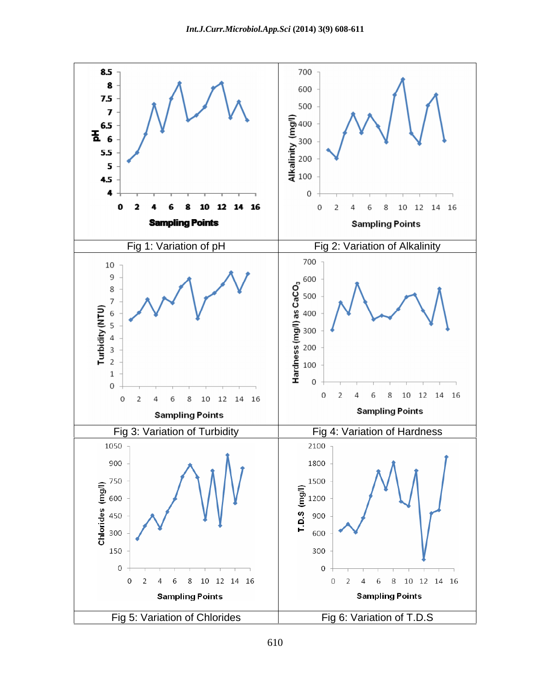